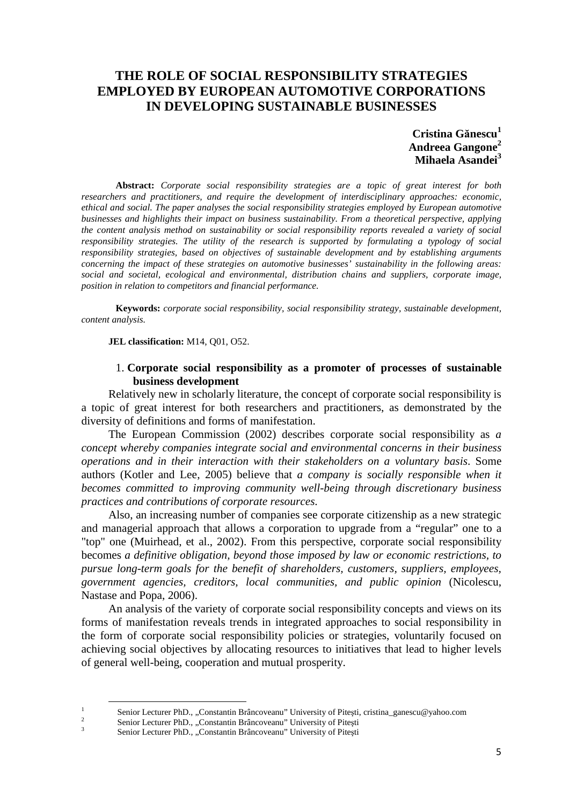# **THE ROLE OF SOCIAL RESPONSIBILITY STRATEGIES EMPLOYED BY EUROPEAN AUTOMOTIVE CORPORATIONS IN DEVELOPING SUSTAINABLE BUSINESSES**

**Cristina Gănescu<sup>1</sup> Andreea Gangone<sup>2</sup> Mihaela Asandei<sup>3</sup>**

**Abstract:** *Corporate social responsibility strategies are a topic of great interest for both researchers and practitioners, and require the development of interdisciplinary approaches: economic, ethical and social. The paper analyses the social responsibility strategies employed by European automotive businesses and highlights their impact on business sustainability. From a theoretical perspective, applying the content analysis method on sustainability or social responsibility reports revealed a variety of social responsibility strategies. The utility of the research is supported by formulating a typology of social responsibility strategies, based on objectives of sustainable development and by establishing arguments concerning the impact of these strategies on automotive businesses' sustainability in the following areas: social and societal, ecological and environmental, distribution chains and suppliers, corporate image, position in relation to competitors and financial performance.*

**Keywords:** *corporate social responsibility, social responsibility strategy, sustainable development, content analysis.*

**JEL classification:** M14, Q01, O52.

## 1. **Corporate social responsibility as a promoter of processes of sustainable business development**

Relatively new in scholarly literature, the concept of corporate social responsibility is a topic of great interest for both researchers and practitioners, as demonstrated by the diversity of definitions and forms of manifestation.

The European Commission (2002) describes corporate social responsibility as *a concept whereby companies integrate social and environmental concerns in their business operations and in their interaction with their stakeholders on a voluntary basis*. Some authors (Kotler and Lee, 2005) believe that *a company is socially responsible when it becomes committed to improving community well-being through discretionary business practices and contributions of corporate resources.*

Also, an increasing number of companies see corporate citizenship as a new strategic and managerial approach that allows a corporation to upgrade from a "regular" one to a "top" one (Muirhead, et al., 2002). From this perspective, corporate social responsibility becomes *a definitive obligation, beyond those imposed by law or economic restrictions, to pursue long-term goals for the benefit of shareholders, customers, suppliers, employees, government agencies, creditors, local communities, and public opinion* (Nicolescu, Nastase and Popa, 2006).

An analysis of the variety of corporate social responsibility concepts and views on its forms of manifestation reveals trends in integrated approaches to social responsibility in the form of corporate social responsibility policies or strategies, voluntarily focused on achieving social objectives by allocating resources to initiatives that lead to higher levels of general well-being, cooperation and mutual prosperity.

1

Senior Lecturer PhD., "Constantin Brâncoveanu" University of Pitești, cristina\_ganescu@yahoo.com

<sup>2</sup> Senior Lecturer PhD., "Constantin Brâncoveanu" University of Pitești

<sup>3</sup> Senior Lecturer PhD., "Constantin Brâncoveanu" University of Pitești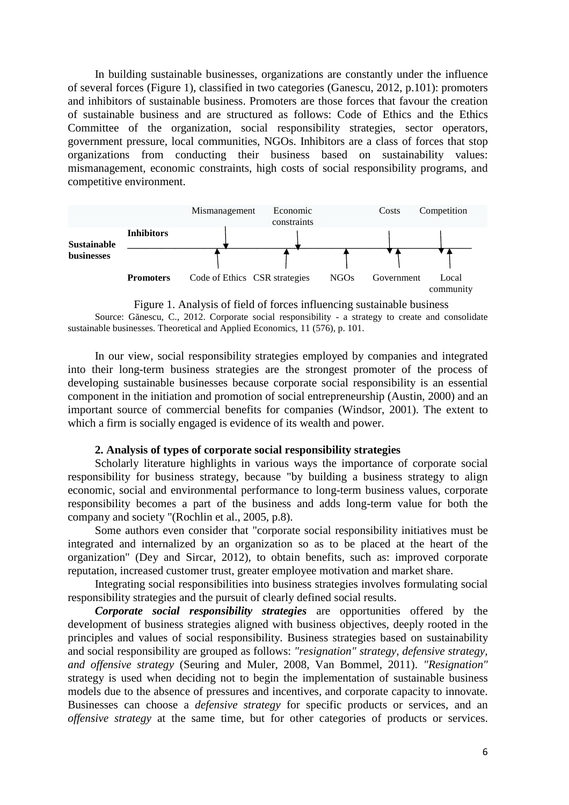In building sustainable businesses, organizations are constantly under the influence of several forces (Figure 1), classified in two categories (Ganescu, 2012, p.101): promoters and inhibitors of sustainable business. Promoters are those forces that favour the creation of sustainable business and are structured as follows: Code of Ethics and the Ethics Committee of the organization, social responsibility strategies, sector operators, government pressure, local communities, NGOs. Inhibitors are a class of forces that stop organizations from conducting their business based on sustainability values: mismanagement, economic constraints, high costs of social responsibility programs, and competitive environment.



Figure 1. Analysis of field of forces influencing sustainable business

Source: Gănescu, C., 2012. Corporate social responsibility - a strategy to create and consolidate sustainable businesses. Theoretical and Applied Economics, 11 (576), p. 101.

In our view, social responsibility strategies employed by companies and integrated into their long-term business strategies are the strongest promoter of the process of developing sustainable businesses because corporate social responsibility is an essential component in the initiation and promotion of social entrepreneurship (Austin, 2000) and an important source of commercial benefits for companies (Windsor, 2001). The extent to which a firm is socially engaged is evidence of its wealth and power.

### **2. Analysis of types of corporate social responsibility strategies**

Scholarly literature highlights in various ways the importance of corporate social responsibility for business strategy, because "by building a business strategy to align economic, social and environmental performance to long-term business values, corporate responsibility becomes a part of the business and adds long-term value for both the company and society "(Rochlin et al., 2005, p.8).

Some authors even consider that "corporate social responsibility initiatives must be integrated and internalized by an organization so as to be placed at the heart of the organization" (Dey and Sircar, 2012), to obtain benefits, such as: improved corporate reputation, increased customer trust, greater employee motivation and market share.

Integrating social responsibilities into business strategies involves formulating social responsibility strategies and the pursuit of clearly defined social results.

*Corporate social responsibility strategies* are opportunities offered by the development of business strategies aligned with business objectives, deeply rooted in the principles and values of social responsibility. Business strategies based on sustainability and social responsibility are grouped as follows: *"resignation" strategy, defensive strategy, and offensive strategy* (Seuring and Muler, 2008, Van Bommel, 2011). *"Resignation"* strategy is used when deciding not to begin the implementation of sustainable business models due to the absence of pressures and incentives, and corporate capacity to innovate. Businesses can choose a *defensive strategy* for specific products or services, and an *offensive strategy* at the same time, but for other categories of products or services.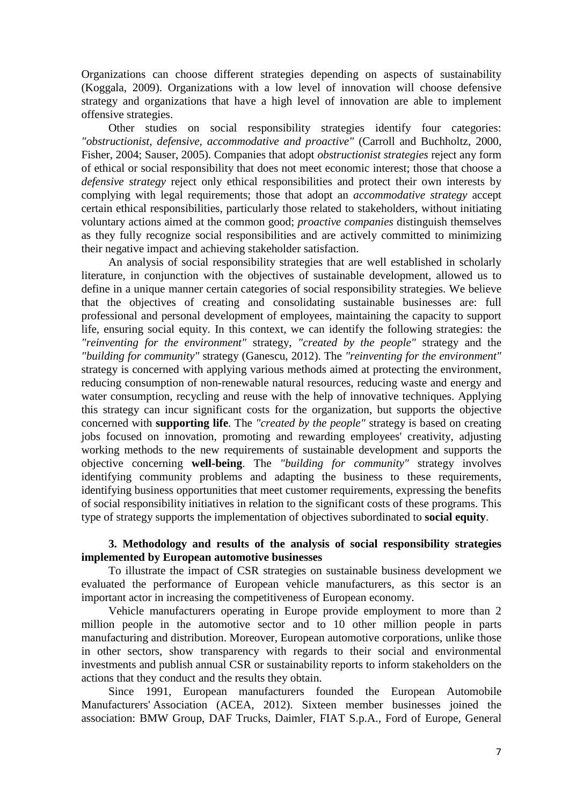Organizations can choose different strategies depending on aspects of sustainability (Koggala, 2009). Organizations with a low level of innovation will choose defensive strategy and organizations that have a high level of innovation are able to implement offensive strategies.

Other studies on social responsibility strategies identify four categories: *"obstructionist, defensive, accommodative and proactive"* (Carroll and Buchholtz, 2000, Fisher, 2004; Sauser, 2005). Companies that adopt *obstructionist strategies* reject any form of ethical or social responsibility that does not meet economic interest; those that choose a *defensive strategy* reject only ethical responsibilities and protect their own interests by complying with legal requirements; those that adopt an *accommodative strategy* accept certain ethical responsibilities, particularly those related to stakeholders, without initiating voluntary actions aimed at the common good; *proactive companies* distinguish themselves as they fully recognize social responsibilities and are actively committed to minimizing their negative impact and achieving stakeholder satisfaction.

An analysis of social responsibility strategies that are well established in scholarly literature, in conjunction with the objectives of sustainable development, allowed us to define in a unique manner certain categories of social responsibility strategies. We believe that the objectives of creating and consolidating sustainable businesses are: full professional and personal development of employees, maintaining the capacity to support life, ensuring social equity. In this context, we can identify the following strategies: the *"reinventing for the environment"* strategy, *"created by the people"* strategy and the *"building for community"* strategy (Ganescu, 2012). The *"reinventing for the environment"* strategy is concerned with applying various methods aimed at protecting the environment, reducing consumption of non-renewable natural resources, reducing waste and energy and water consumption, recycling and reuse with the help of innovative techniques. Applying this strategy can incur significant costs for the organization, but supports the objective concerned with **supporting life**. The *"created by the people"* strategy is based on creating jobs focused on innovation, promoting and rewarding employees' creativity, adjusting working methods to the new requirements of sustainable development and supports the objective concerning **well-being**. The *"building for community"* strategy involves identifying community problems and adapting the business to these requirements, identifying business opportunities that meet customer requirements, expressing the benefits of social responsibility initiatives in relation to the significant costs of these programs. This type of strategy supports the implementation of objectives subordinated to **social equity**.

# **3. Methodology and results of the analysis of social responsibility strategies implemented by European automotive businesses**

To illustrate the impact of CSR strategies on sustainable business development we evaluated the performance of European vehicle manufacturers, as this sector is an important actor in increasing the competitiveness of European economy.

Vehicle manufacturers operating in Europe provide employment to more than 2 million people in the automotive sector and to 10 other million people in parts manufacturing and distribution. Moreover, European automotive corporations, unlike those in other sectors, show transparency with regards to their social and environmental investments and publish annual CSR or sustainability reports to inform stakeholders on the actions that they conduct and the results they obtain.

Since 1991, European manufacturers founded the European Automobile Manufacturers' Association (ACEA, 2012). Sixteen member businesses joined the association: BMW Group, DAF Trucks, Daimler, FIAT S.p.A., Ford of Europe, General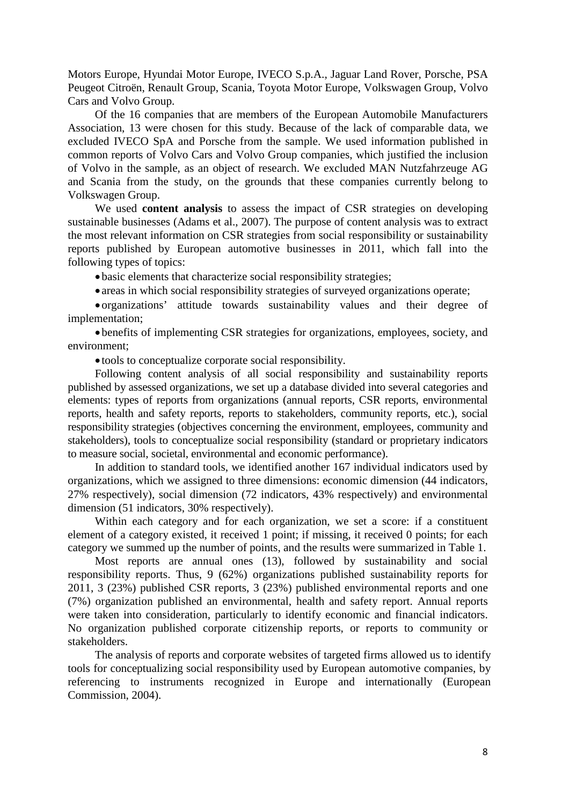Motors Europe, Hyundai Motor Europe, IVECO S.p.A., Jaguar Land Rover, Porsche, PSA Peugeot Citroën, Renault Group, Scania, Toyota Motor Europe, Volkswagen Group, Volvo Cars and Volvo Group.

Of the 16 companies that are members of the European Automobile Manufacturers Association, 13 were chosen for this study. Because of the lack of comparable data, we excluded IVECO SpA and Porsche from the sample. We used information published in common reports of Volvo Cars and Volvo Group companies, which justified the inclusion of Volvo in the sample, as an object of research. We excluded MAN Nutzfahrzeuge AG and Scania from the study, on the grounds that these companies currently belong to Volkswagen Group.

We used **content analysis** to assess the impact of CSR strategies on developing sustainable businesses (Adams et al., 2007). The purpose of content analysis was to extract the most relevant information on CSR strategies from social responsibility or sustainability reports published by European automotive businesses in 2011, which fall into the following types of topics:

basic elements that characterize social responsibility strategies;

areas in which social responsibility strategies of surveyed organizations operate;

 organizations' attitude towards sustainability values and their degree of implementation;

 benefits of implementing CSR strategies for organizations, employees, society, and environment;

tools to conceptualize corporate social responsibility.

Following content analysis of all social responsibility and sustainability reports published by assessed organizations, we set up a database divided into several categories and elements: types of reports from organizations (annual reports, CSR reports, environmental reports, health and safety reports, reports to stakeholders, community reports, etc.), social responsibility strategies (objectives concerning the environment, employees, community and stakeholders), tools to conceptualize social responsibility (standard or proprietary indicators to measure social, societal, environmental and economic performance).

In addition to standard tools, we identified another 167 individual indicators used by organizations, which we assigned to three dimensions: economic dimension (44 indicators, 27% respectively), social dimension (72 indicators, 43% respectively) and environmental dimension (51 indicators, 30% respectively).

Within each category and for each organization, we set a score: if a constituent element of a category existed, it received 1 point; if missing, it received 0 points; for each category we summed up the number of points, and the results were summarized in Table 1.

Most reports are annual ones (13), followed by sustainability and social responsibility reports. Thus, 9 (62%) organizations published sustainability reports for 2011, 3 (23%) published CSR reports, 3 (23%) published environmental reports and one (7%) organization published an environmental, health and safety report. Annual reports were taken into consideration, particularly to identify economic and financial indicators. No organization published corporate citizenship reports, or reports to community or stakeholders.

The analysis of reports and corporate websites of targeted firms allowed us to identify tools for conceptualizing social responsibility used by European automotive companies, by referencing to instruments recognized in Europe and internationally (European Commission, 2004).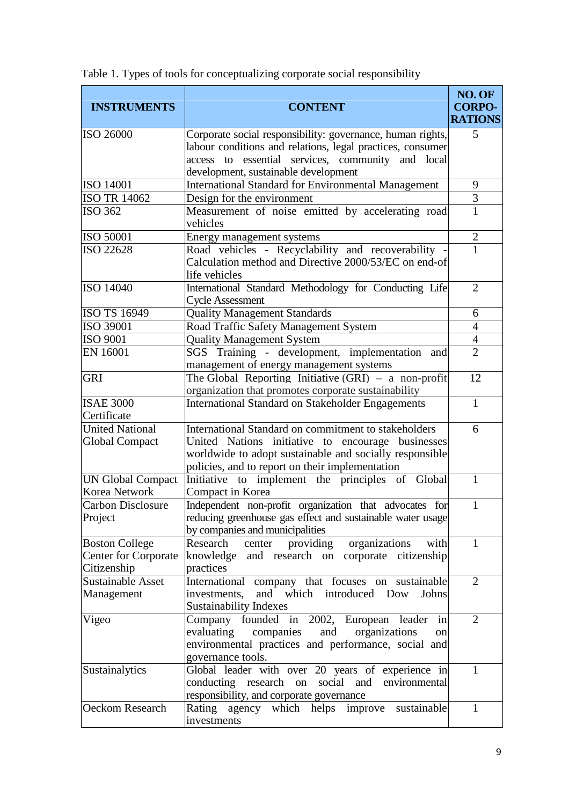| <b>INSTRUMENTS</b>       | <b>CONTENT</b>                                                                                                             | NO. OF<br><b>CORPO-</b><br><b>RATIONS</b> |
|--------------------------|----------------------------------------------------------------------------------------------------------------------------|-------------------------------------------|
| ISO 26000                | Corporate social responsibility: governance, human rights,                                                                 | 5                                         |
|                          | labour conditions and relations, legal practices, consumer                                                                 |                                           |
|                          | access to essential services, community and local                                                                          |                                           |
|                          | development, sustainable development                                                                                       |                                           |
| <b>ISO 14001</b>         | <b>International Standard for Environmental Management</b>                                                                 | 9                                         |
| <b>ISO TR 14062</b>      | Design for the environment                                                                                                 | 3                                         |
| <b>ISO 362</b>           | Measurement of noise emitted by accelerating road<br>vehicles                                                              | $\mathbf 1$                               |
| <b>ISO 50001</b>         | Energy management systems                                                                                                  | $\overline{2}$                            |
| <b>ISO 22628</b>         | Road vehicles - Recyclability and recoverability<br>Calculation method and Directive 2000/53/EC on end-of<br>life vehicles | 1                                         |
| ISO 14040                | International Standard Methodology for Conducting Life<br><b>Cycle Assessment</b>                                          | $\overline{2}$                            |
| ISO TS 16949             | <b>Quality Management Standards</b>                                                                                        | 6                                         |
| ISO 39001                | Road Traffic Safety Management System                                                                                      | $\overline{4}$                            |
| <b>ISO 9001</b>          | <b>Quality Management System</b>                                                                                           | $\overline{4}$                            |
| <b>EN 16001</b>          | SGS Training - development, implementation and<br>management of energy management systems                                  | $\overline{2}$                            |
| <b>GRI</b>               | The Global Reporting Initiative $(GRI)$ – a non-profit                                                                     | 12                                        |
|                          | organization that promotes corporate sustainability                                                                        |                                           |
| <b>ISAE 3000</b>         | International Standard on Stakeholder Engagements                                                                          | $\mathbf{1}$                              |
| Certificate              |                                                                                                                            |                                           |
| United National          | International Standard on commitment to stakeholders                                                                       | 6                                         |
| <b>Global Compact</b>    | United Nations initiative to encourage businesses                                                                          |                                           |
|                          | worldwide to adopt sustainable and socially responsible                                                                    |                                           |
|                          | policies, and to report on their implementation                                                                            |                                           |
| <b>UN Global Compact</b> | Initiative to implement the principles of Global                                                                           | 1                                         |
| Korea Network            | Compact in Korea                                                                                                           |                                           |
| <b>Carbon Disclosure</b> | Independent non-profit organization that advocates for                                                                     | $\mathbf{1}$                              |
| Project                  | reducing greenhouse gas effect and sustainable water usage                                                                 |                                           |
|                          | by companies and municipalities                                                                                            |                                           |
| <b>Boston College</b>    | center providing<br>organizations<br>Research<br>with                                                                      | $\mathbf{1}$                              |
| Center for Corporate     | knowledge and research on corporate citizenship                                                                            |                                           |
| Citizenship              | practices                                                                                                                  |                                           |
| <b>Sustainable Asset</b> | International company that focuses on sustainable                                                                          | $\overline{2}$                            |
| Management               | and which introduced Dow<br>investments,<br>Johns                                                                          |                                           |
|                          | <b>Sustainability Indexes</b>                                                                                              |                                           |
| Vigeo                    | Company founded in 2002, European leader<br>in                                                                             | $\overline{2}$                            |
|                          | evaluating<br>organizations<br>companies<br>and<br>on                                                                      |                                           |
|                          | environmental practices and performance, social and                                                                        |                                           |
|                          | governance tools.                                                                                                          |                                           |
| Sustainalytics           | Global leader with over 20 years of experience in                                                                          | 1                                         |
|                          | conducting research on social and<br>environmental                                                                         |                                           |
|                          | responsibility, and corporate governance                                                                                   |                                           |
| Oeckom Research          | Rating agency which helps improve<br>sustainable<br>investments                                                            | $\mathbf{1}$                              |

Table 1. Types of tools for conceptualizing corporate social responsibility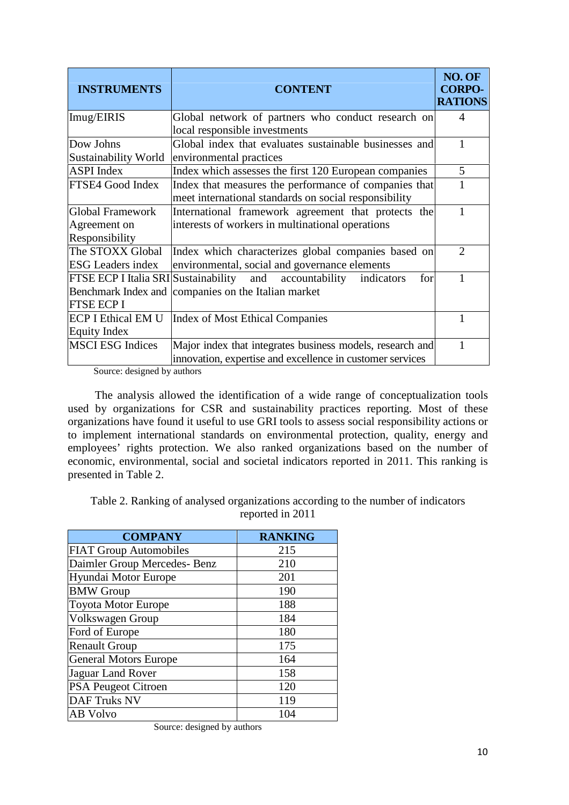| <b>INSTRUMENTS</b>                   | <b>CONTENT</b>                                                                                                 | NO. OF<br><b>CORPO-</b><br><b>RATIONS</b> |
|--------------------------------------|----------------------------------------------------------------------------------------------------------------|-------------------------------------------|
| Imug/EIRIS                           | Global network of partners who conduct research on<br>local responsible investments                            | 4                                         |
| Dow Johns<br>Sustainability World    | Global index that evaluates sustainable businesses and<br>environmental practices                              |                                           |
| <b>ASPI</b> Index                    | Index which assesses the first 120 European companies                                                          | $5\overline{)}$                           |
| FTSE4 Good Index                     | Index that measures the performance of companies that<br>meet international standards on social responsibility |                                           |
| <b>Global Framework</b>              | International framework agreement that protects the                                                            | 1                                         |
| Agreement on                         | interests of workers in multinational operations                                                               |                                           |
| Responsibility                       |                                                                                                                |                                           |
| The STOXX Global                     | Index which characterizes global companies based on                                                            | 2                                         |
| <b>ESG</b> Leaders index             | environmental, social and governance elements                                                                  |                                           |
| FTSE ECP I Italia SRI Sustainability | and accountability<br>indicators<br>for                                                                        |                                           |
|                                      | Benchmark Index and companies on the Italian market                                                            |                                           |
| <b>FTSE ECP I</b>                    |                                                                                                                |                                           |
| <b>ECP I Ethical EM U</b>            | <b>Index of Most Ethical Companies</b>                                                                         |                                           |
| <b>Equity Index</b>                  |                                                                                                                |                                           |
| <b>MSCI ESG Indices</b>              | Major index that integrates business models, research and                                                      |                                           |
|                                      | innovation, expertise and excellence in customer services                                                      |                                           |

Source: designed by authors

The analysis allowed the identification of a wide range of conceptualization tools used by organizations for CSR and sustainability practices reporting. Most of these organizations have found it useful to use GRI tools to assess social responsibility actions or to implement international standards on environmental protection, quality, energy and employees' rights protection. We also ranked organizations based on the number of economic, environmental, social and societal indicators reported in 2011. This ranking is presented in Table 2.

Table 2. Ranking of analysed organizations according to the number of indicators reported in 2011

| <b>COMPANY</b>                | <b>RANKING</b> |
|-------------------------------|----------------|
| <b>FIAT Group Automobiles</b> | 215            |
| Daimler Group Mercedes- Benz  | 210            |
| Hyundai Motor Europe          | 201            |
| <b>BMW</b> Group              | 190            |
| <b>Toyota Motor Europe</b>    | 188            |
| Volkswagen Group              | 184            |
| Ford of Europe                | 180            |
| <b>Renault Group</b>          | 175            |
| <b>General Motors Europe</b>  | 164            |
| Jaguar Land Rover             | 158            |
| <b>PSA Peugeot Citroen</b>    | 120            |
| <b>DAF Truks NV</b>           | 119            |
| AB Volvo                      | 104            |

Source: designed by authors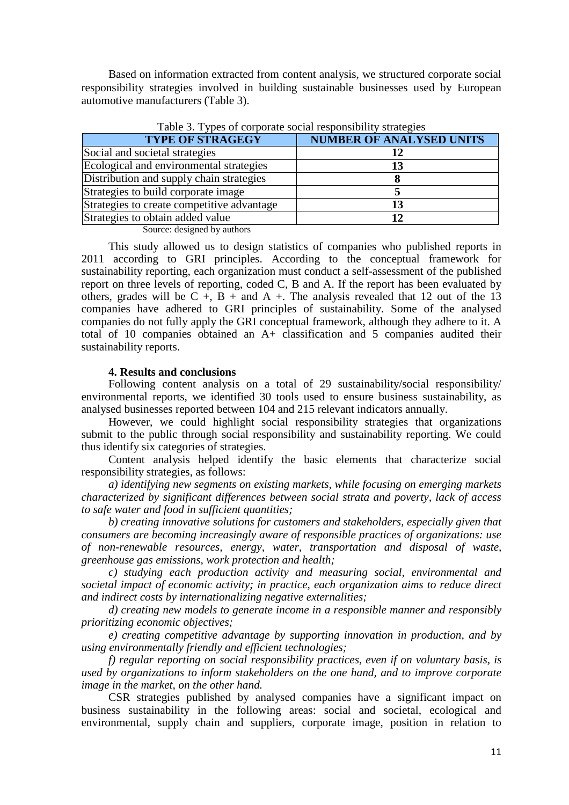Based on information extracted from content analysis, we structured corporate social responsibility strategies involved in building sustainable businesses used by European automotive manufacturers (Table 3).

| <b>TYPE OF STRAGEGY</b>                    | <b>NUMBER OF ANALYSED UNITS</b> |
|--------------------------------------------|---------------------------------|
| Social and societal strategies             | 12                              |
| Ecological and environmental strategies    | 13                              |
| Distribution and supply chain strategies   |                                 |
| Strategies to build corporate image        |                                 |
| Strategies to create competitive advantage | 13                              |
| Strategies to obtain added value           | 12                              |

Table 3. Types of corporate social responsibility strategies

Source: designed by authors

This study allowed us to design statistics of companies who published reports in 2011 according to GRI principles. According to the conceptual framework for sustainability reporting, each organization must conduct a self-assessment of the published report on three levels of reporting, coded C, B and A. If the report has been evaluated by others, grades will be C  $+$ , B  $+$  and A  $+$ . The analysis revealed that 12 out of the 13 companies have adhered to GRI principles of sustainability. Some of the analysed companies do not fully apply the GRI conceptual framework, although they adhere to it. A total of 10 companies obtained an A+ classification and 5 companies audited their sustainability reports.

### **4. Results and conclusions**

Following content analysis on a total of 29 sustainability/social responsibility/ environmental reports, we identified 30 tools used to ensure business sustainability, as analysed businesses reported between 104 and 215 relevant indicators annually.

However, we could highlight social responsibility strategies that organizations submit to the public through social responsibility and sustainability reporting. We could thus identify six categories of strategies.

Content analysis helped identify the basic elements that characterize social responsibility strategies, as follows:

*a) identifying new segments on existing markets, while focusing on emerging markets characterized by significant differences between social strata and poverty, lack of access to safe water and food in sufficient quantities;*

*b) creating innovative solutions for customers and stakeholders, especially given that consumers are becoming increasingly aware of responsible practices of organizations: use of non-renewable resources, energy, water, transportation and disposal of waste, greenhouse gas emissions, work protection and health;*

*c) studying each production activity and measuring social, environmental and societal impact of economic activity; in practice, each organization aims to reduce direct and indirect costs by internationalizing negative externalities;*

*d) creating new models to generate income in a responsible manner and responsibly prioritizing economic objectives;*

*e) creating competitive advantage by supporting innovation in production, and by using environmentally friendly and efficient technologies;*

*f) regular reporting on social responsibility practices, even if on voluntary basis, is used by organizations to inform stakeholders on the one hand, and to improve corporate image in the market, on the other hand.*

CSR strategies published by analysed companies have a significant impact on business sustainability in the following areas: social and societal, ecological and environmental, supply chain and suppliers, corporate image, position in relation to